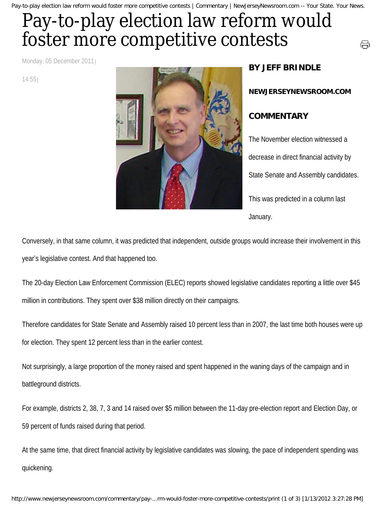Pay-to-play election law reform would foster more competitive contests | Commentary | NewJerseyNewsroom.com -- Your State. Your News.

## Pay-to-play election law reform would foster more competitive contests

Monday, 05 December 2011

14:55



## **BY JEFF BRINDLE**

**NEWJERSEYNEWSROOM.COM**

⊜

## **COMMENTARY**

The November election witnessed a decrease in direct financial activity by State Senate and Assembly candidates. This was predicted in a column last January.

Conversely, in that same column, it was predicted that independent, outside groups would increase their involvement in this year's legislative contest. And that happened too.

The 20-day Election Law Enforcement Commission (ELEC) reports showed legislative candidates reporting a little over \$45 million in contributions. They spent over \$38 million directly on their campaigns.

Therefore candidates for State Senate and Assembly raised 10 percent less than in 2007, the last time both houses were up for election. They spent 12 percent less than in the earlier contest.

Not surprisingly, a large proportion of the money raised and spent happened in the waning days of the campaign and in battleground districts.

For example, districts 2, 38, 7, 3 and 14 raised over \$5 million between the 11-day pre-election report and Election Day, or 59 percent of funds raised during that period.

At the same time, that direct financial activity by legislative candidates was slowing, the pace of independent spending was quickening.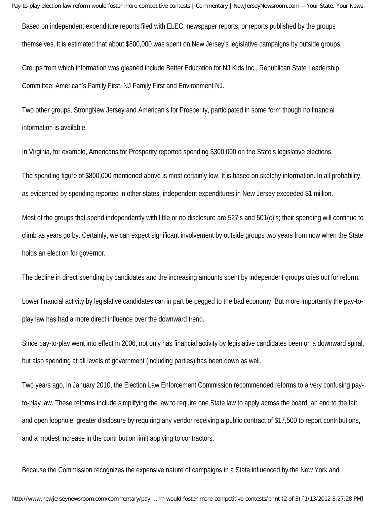Based on independent expenditure reports filed with ELEC, newspaper reports, or reports published by the groups themselves, it is estimated that about \$800,000 was spent on New Jersey's legislative campaigns by outside groups.

Groups from which information was gleaned include Better Education for NJ Kids Inc., Republican State Leadership Committee; American's Family First, NJ Family First and Environment NJ.

Two other groups, StrongNew Jersey and American's for Prosperity, participated in some form though no financial information is available.

In Virginia, for example, Americans for Prosperity reported spending \$300,000 on the State's legislative elections.

The spending figure of \$800,000 mentioned above is most certainly low. It is based on sketchy information. In all probability, as evidenced by spending reported in other states, independent expenditures in New Jersey exceeded \$1 million.

Most of the groups that spend independently with little or no disclosure are 527's and 501(c)'s; their spending will continue to climb as years go by. Certainly, we can expect significant involvement by outside groups two years from now when the State holds an election for governor.

The decline in direct spending by candidates and the increasing amounts spent by independent groups cries out for reform.

Lower financial activity by legislative candidates can in part be pegged to the bad economy. But more importantly the pay-toplay law has had a more direct influence over the downward trend.

Since pay-to-play went into effect in 2006, not only has financial activity by legislative candidates been on a downward spiral, but also spending at all levels of government (including parties) has been down as well.

Two years ago, in January 2010, the Election Law Enforcement Commission recommended reforms to a very confusing payto-play law. These reforms include simplifying the law to require one State law to apply across the board, an end to the fair and open loophole, greater disclosure by requiring any vendor receiving a public contract of \$17,500 to report contributions, and a modest increase in the contribution limit applying to contractors.

Because the Commission recognizes the expensive nature of campaigns in a State influenced by the New York and